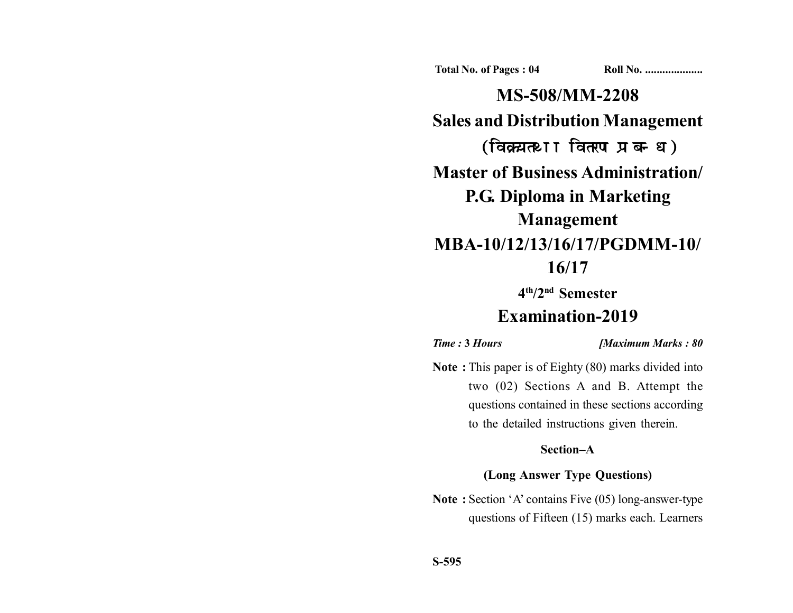**Total No. of Pages : 04 Roll No. ...................** 

**MS-508/MM-2208 Sales and Distribution Management** (विक्रय तथा वितरण प्रबन्ध) **Master of Business Administration/ P.G. Diploma in Marketing Management MBA-10/12/13/16/17/PGDMM-10/ 16/17**

**4th/2nd Semester**

# **Examination-2019**

*Time :* **3** *Hours [Maximum Marks : 80*

**Note :** This paper is of Eighty (80) marks divided into two (02) Sections A and B. Attempt the questions contained in these sections according to the detailed instructions given therein.

# **Section–A**

## **(Long Answer Type Questions)**

**Note :** Section 'A' contains Five (05) long-answer-type questions of Fifteen (15) marks each. Learners